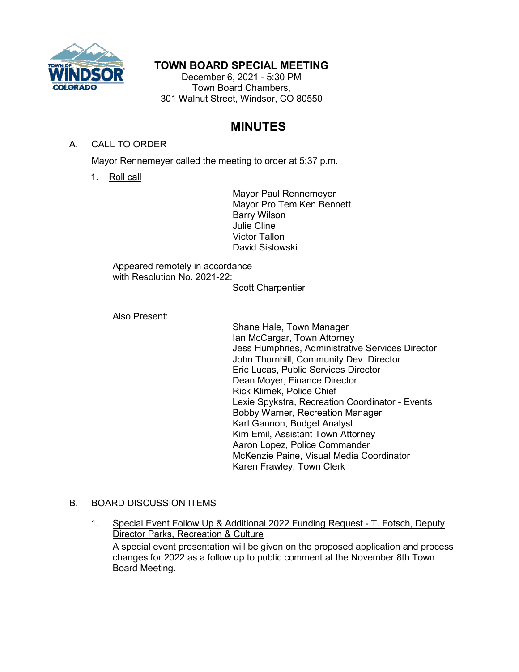

## **TOWN BOARD SPECIAL MEETING**

December 6, 2021 - 5:30 PM Town Board Chambers, 301 Walnut Street, Windsor, CO 80550

# **MINUTES**

#### A. CALL TO ORDER

Mayor Rennemeyer called the meeting to order at 5:37 p.m.

1. Roll call

Mayor Paul Rennemeyer Mayor Pro Tem Ken Bennett Barry Wilson Julie Cline Victor Tallon David Sislowski

Appeared remotely in accordance with Resolution No. 2021-22:

Scott Charpentier

Also Present:

Shane Hale, Town Manager Ian McCargar, Town Attorney Jess Humphries, Administrative Services Director John Thornhill, Community Dev. Director Eric Lucas, Public Services Director Dean Moyer, Finance Director Rick Klimek, Police Chief Lexie Spykstra, Recreation Coordinator - Events Bobby Warner, Recreation Manager Karl Gannon, Budget Analyst Kim Emil, Assistant Town Attorney Aaron Lopez, Police Commander McKenzie Paine, Visual Media Coordinator Karen Frawley, Town Clerk

#### B. BOARD DISCUSSION ITEMS

1. Special Event Follow Up & Additional 2022 Funding Request - T. Fotsch, Deputy Director Parks, Recreation & Culture A special event presentation will be given on the proposed application and process changes for 2022 as a follow up to public comment at the November 8th Town Board Meeting.